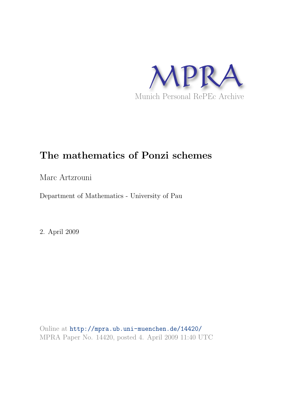

# The mathematics of Ponzi schemes

Marc Artzrouni

Department of Mathematics - University of Pau

2. April 2009

Online at <http://mpra.ub.uni-muenchen.de/14420/> MPRA Paper No. 14420, posted 4. April 2009 11:40 UTC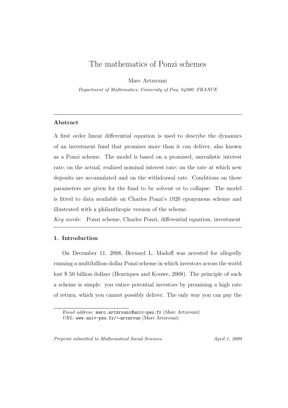# The mathematics of Ponzi schemes

Marc Artzrouni

Department of Mathematics, University of Pau, 64000, FRANCE

# Abstract

A first order linear differential equation is used to describe the dynamics of an investment fund that promises more than it can deliver, also known as a Ponzi scheme. The model is based on a promised, unrealistic interest rate; on the actual, realized nominal interest rate; on the rate at which new deposits are accumulated and on the withdrawal rate. Conditions on these parameters are given for the fund to be solvent or to collapse. The model is fitted to data available on Charles Ponzi's 1920 eponymous scheme and illustrated with a philanthropic version of the scheme.

Key words: Ponzi scheme, Charles Ponzi, differential equation, investment

# 1. Introduction

On December 11, 2008, Bernard L. Madoff was arrested for allegedly running a multibillion-dollar Ponzi scheme in which investors across the world lost \$ 50 billion dollars (Henriques and Kouwe, 2008). The principle of such a scheme is simple: you entice potential investors by promising a high rate of return, which you cannot possibly deliver. The only way you can pay the

Preprint submitted to Mathematical Social Sciences April 1, 2009

Email address: marc.artzrouni@univ-pau.fr (Marc Artzrouni) URL: www.univ-pau.fr/∼artzroun (Marc Artzrouni)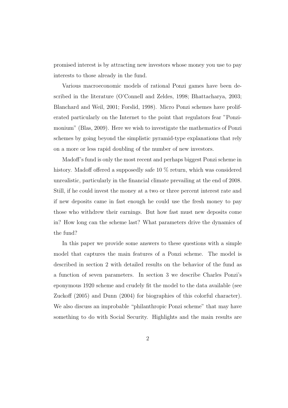promised interest is by attracting new investors whose money you use to pay interests to those already in the fund.

Various macroeconomic models of rational Ponzi games have been described in the literature (O'Connell and Zeldes, 1998; Bhattacharya, 2003; Blanchard and Weil, 2001; Forslid, 1998). Micro Ponzi schemes have proliferated particularly on the Internet to the point that regulators fear "Ponzimonium" (Blas, 2009). Here we wish to investigate the mathematics of Ponzi schemes by going beyond the simplistic pyramid-type explanations that rely on a more or less rapid doubling of the number of new investors.

Madoff's fund is only the most recent and perhaps biggest Ponzi scheme in history. Madoff offered a supposedly safe 10 % return, which was considered unrealistic, particularly in the financial climate prevailing at the end of 2008. Still, if he could invest the money at a two or three percent interest rate and if new deposits came in fast enough he could use the fresh money to pay those who withdrew their earnings. But how fast must new deposits come in? How long can the scheme last? What parameters drive the dynamics of the fund?

In this paper we provide some answers to these questions with a simple model that captures the main features of a Ponzi scheme. The model is described in section 2 with detailed results on the behavior of the fund as a function of seven parameters. In section 3 we describe Charles Ponzi's eponymous 1920 scheme and crudely fit the model to the data available (see Zuckoff (2005) and Dunn (2004) for biographies of this colorful character). We also discuss an improbable "philanthropic Ponzi scheme" that may have something to do with Social Security. Highlights and the main results are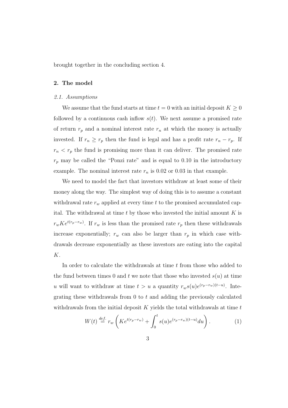brought together in the concluding section 4.

# 2. The model

#### 2.1. Assumptions

We assume that the fund starts at time  $t = 0$  with an initial deposit  $K \geq 0$ followed by a continuous cash inflow  $s(t)$ . We next assume a promised rate of return  $r_p$  and a nominal interest rate  $r_n$  at which the money is actually invested. If  $r_n \geq r_p$  then the fund is legal and has a profit rate  $r_n - r_p$ . If  $r_n < r_p$  the fund is promising more than it can deliver. The promised rate  $r_p$  may be called the "Ponzi rate" and is equal to 0.10 in the introductory example. The nominal interest rate  $r_n$  is 0.02 or 0.03 in that example.

We need to model the fact that investors withdraw at least some of their money along the way. The simplest way of doing this is to assume a constant withdrawal rate  $r_w$  applied at every time t to the promised accumulated capital. The withdrawal at time  $t$  by those who invested the initial amount  $K$  is  $r_wKe^{t(r_p-r_w)}$ . If  $r_w$  is less than the promised rate  $r_p$  then these withdrawals increase exponentially;  $r_w$  can also be larger than  $r_p$  in which case withdrawals decrease exponentially as these investors are eating into the capital K.

In order to calculate the withdrawals at time  $t$  from those who added to the fund between times 0 and t we note that those who invested  $s(u)$  at time u will want to withdraw at time  $t > u$  a quantity  $r_w s(u)e^{(r_p - r_w)(t-u)}$ . Integrating these withdrawals from  $0$  to  $t$  and adding the previously calculated withdrawals from the initial deposit  $K$  yields the total withdrawals at time  $t$ 

$$
W(t) \stackrel{def.}{=} r_w \left( K e^{t(r_p - r_w)} + \int_0^t s(u) e^{(r_p - r_w)(t - u)} du \right).
$$
 (1)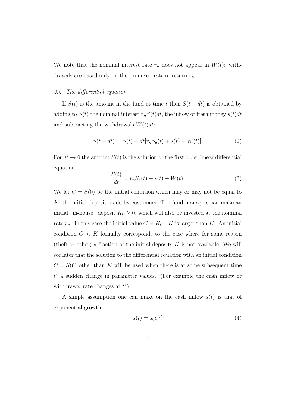We note that the nominal interest rate  $r_n$  does not appear in  $W(t)$ : withdrawals are based only on the promised rate of return  $r_p$ .

### 2.2. The differential equation

If  $S(t)$  is the amount in the fund at time t then  $S(t + dt)$  is obtained by adding to  $S(t)$  the nominal interest  $r_nS(t)dt$ , the inflow of fresh money  $s(t)dt$ and subtracting the withdrawals  $W(t)dt$ :

$$
S(t + dt) = S(t) + dt[r_n S_a(t) + s(t) - W(t)].
$$
\n(2)

For  $dt \to 0$  the amount  $S(t)$  is the solution to the first order linear differential equation  $\sim$   $\sim$ 

$$
\frac{S(t)}{dt} = r_n S_a(t) + s(t) - W(t).
$$
 (3)

We let  $C = S(0)$  be the initial condition which may or may not be equal to K, the initial deposit made by customers. The fund managers can make an initial "in-house" deposit  $K_0 \geq 0$ , which will also be invested at the nominal rate  $r_n$ . In this case the initial value  $C = K_0 + K$  is larger than K. An initial condition  $C < K$  formally corresponds to the case where for some reason (the ft or other) a fraction of the initial deposits  $K$  is not available. We will see later that the solution to the differential equation with an initial condition  $C = S(0)$  other than K will be used when there is at some subsequent time t <sup>∗</sup> a sudden change in parameter values. (For example the cash inflow or withdrawal rate changes at  $t^*$ ).

A simple assumption one can make on the cash inflow  $s(t)$  is that of exponential growth:

$$
s(t) = s_0 e^{r_i t} \tag{4}
$$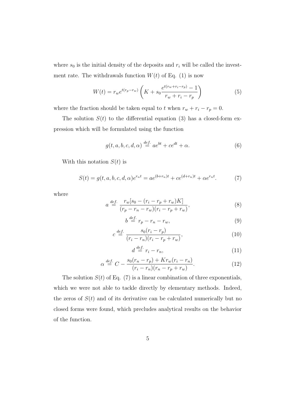where  $s_0$  is the initial density of the deposits and  $r_i$  will be called the investment rate. The withdrawals function  $W(t)$  of Eq. (1) is now

$$
W(t) = r_w e^{t(r_p - r_w)} \left( K + s_0 \frac{e^{t(r_w + r_i - r_p)} - 1}{r_w + r_i - r_p} \right)
$$
 (5)

where the fraction should be taken equal to t when  $r_w + r_i - r_p = 0$ .

The solution  $S(t)$  to the differential equation (3) has a closed-form expression which will be formulated using the function

$$
g(t, a, b, c, d, \alpha) \stackrel{def.}{=} a e^{bt} + c e^{dt} + \alpha.
$$
 (6)

With this notation  $S(t)$  is

$$
S(t) = g(t, a, b, c, d, \alpha)e^{r_n t} = ae^{(b+r_n)t} + ce^{(d+r_n)t} + \alpha e^{r_n t}.
$$
 (7)

where

$$
a \stackrel{def.}{=} \frac{r_w[s_0 - (r_i - r_p + r_w)K]}{(r_p - r_n - r_w)(r_i - r_p + r_w)},
$$
\n(8)

$$
b \stackrel{def.}{=} r_p - r_n - r_w,\tag{9}
$$

$$
c \stackrel{\text{def.}}{=} \frac{s_0(r_i - r_p)}{(r_i - r_n)(r_i - r_p + r_w)},\tag{10}
$$

$$
d \stackrel{def.}{=} r_i - r_n,\tag{11}
$$

$$
\alpha \stackrel{def.}{=} C - \frac{s_0(r_n - r_p) + Kr_w(r_i - r_n)}{(r_i - r_n)(r_n - r_p + r_w)}.
$$
 (12)

The solution  $S(t)$  of Eq. (7) is a linear combination of three exponentials, which we were not able to tackle directly by elementary methods. Indeed, the zeros of  $S(t)$  and of its derivative can be calculated numerically but no closed forms were found, which precludes analytical results on the behavior of the function.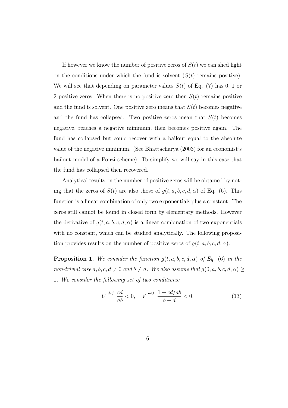If however we know the number of positive zeros of  $S(t)$  we can shed light on the conditions under which the fund is solvent  $(S(t))$  remains positive). We will see that depending on parameter values  $S(t)$  of Eq. (7) has 0, 1 or 2 positive zeros. When there is no positive zero then  $S(t)$  remains positive and the fund is solvent. One positive zero means that  $S(t)$  becomes negative and the fund has collapsed. Two positive zeros mean that  $S(t)$  becomes negative, reaches a negative minimum, then becomes positive again. The fund has collapsed but could recover with a bailout equal to the absolute value of the negative minimum. (See Bhattacharya (2003) for an economist's bailout model of a Ponzi scheme). To simplify we will say in this case that the fund has collapsed then recovered.

Analytical results on the number of positive zeros will be obtained by noting that the zeros of  $S(t)$  are also those of  $g(t, a, b, c, d, \alpha)$  of Eq. (6). This function is a linear combination of only two exponentials plus a constant. The zeros still cannot be found in closed form by elementary methods. However the derivative of  $g(t, a, b, c, d, \alpha)$  is a linear combination of two exponentials with no constant, which can be studied analytically. The following proposition provides results on the number of positive zeros of  $g(t, a, b, c, d, \alpha)$ .

**Proposition 1.** We consider the function  $g(t, a, b, c, d, \alpha)$  of Eq. (6) in the non-trivial case  $a, b, c, d \neq 0$  and  $b \neq d$ . We also assume that  $g(0, a, b, c, d, \alpha) \ge$ 0. We consider the following set of two conditions:

$$
U \stackrel{\text{def.}}{=} \frac{cd}{ab} < 0, \quad V \stackrel{\text{def.}}{=} \frac{1 + cd/ab}{b - d} < 0. \tag{13}
$$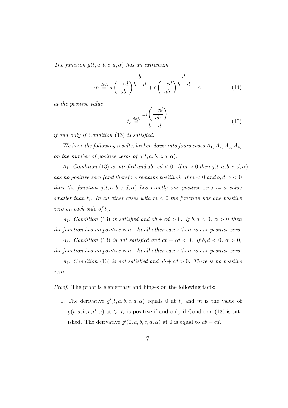The function  $g(t, a, b, c, d, \alpha)$  has an extremum

$$
m \stackrel{def.}{=} a\left(\frac{-cd}{ab}\right)^{\frac{b}{b-d}} + c\left(\frac{-cd}{ab}\right)^{\frac{d}{b-d}} + \alpha \tag{14}
$$

at the positive value

$$
t_c \stackrel{def.}{=} \frac{\ln\left(\frac{-cd}{ab}\right)}{b-d} \tag{15}
$$

if and only if Condition (13) is satisfied.

We have the following results, broken down into fours cases  $A_1, A_2, A_3, A_4$ , on the number of positive zeros of  $g(t, a, b, c, d, \alpha)$ :

 $A_1$ : Condition (13) is satisfied and ab+cd < 0. If  $m > 0$  then  $g(t, a, b, c, d, \alpha)$ has no positive zero (and therefore remains positive). If  $m < 0$  and  $b, d, \alpha < 0$ then the function  $g(t, a, b, c, d, \alpha)$  has exactly one positive zero at a value smaller than  $t_c$ . In all other cases with  $m < 0$  the function has one positive zero on each side of  $t_c$ .

 $A_2$ : Condition (13) is satisfied and  $ab + cd > 0$ . If  $b, d < 0$ ,  $\alpha > 0$  then the function has no positive zero. In all other cases there is one positive zero.

A<sub>3</sub>: Condition (13) is not satisfied and  $ab + cd < 0$ . If  $b, d < 0, \alpha > 0$ , the function has no positive zero. In all other cases there is one positive zero.

 $A_4$ : Condition (13) is not satisfied and ab + cd > 0. There is no positive zero.

Proof. The proof is elementary and hinges on the following facts:

1. The derivative  $g'(t, a, b, c, d, \alpha)$  equals 0 at  $t_c$  and m is the value of  $g(t, a, b, c, d, \alpha)$  at  $t_c$ ;  $t_c$  is positive if and only if Condition (13) is satisfied. The derivative  $g'(0, a, b, c, d, \alpha)$  at 0 is equal to  $ab + cd$ .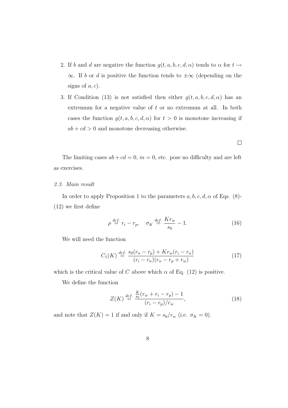- 2. If b and d are negative the function  $g(t, a, b, c, d, \alpha)$  tends to  $\alpha$  for  $t \to a$ ∞. If b or d is positive the function tends to  $\pm \infty$  (depending on the signs of  $a, c$ ).
- 3. If Condition (13) is not satisfied then either  $g(t, a, b, c, d, \alpha)$  has an extremum for a negative value of t or no extremum at all. In both cases the function  $g(t, a, b, c, d, \alpha)$  for  $t > 0$  is monotone increasing if  $ab + cd > 0$  and monotone decreasing otherwise.

$$
\sqcup
$$

The limiting cases  $ab + cd = 0$ ,  $m = 0$ , etc. pose no difficulty and are left as exercises.

# 2.3. Main result

In order to apply Proposition 1 to the parameters  $a, b, c, d, \alpha$  of Eqs. (8)-(12) we first define

$$
\rho \stackrel{\text{def.}}{=} r_i - r_p, \quad \sigma_K \stackrel{\text{def.}}{=} \frac{K r_w}{s_0} - 1. \tag{16}
$$

We will need the function

$$
C_1(K) \stackrel{def.}{=} \frac{s_0(r_n - r_p) + Kr_w(r_i - r_n)}{(r_i - r_n)(r_n - r_p + r_w)}
$$
(17)

which is the critical value of C above which  $\alpha$  of Eq. (12) is positive.

We define the function

$$
Z(K) \stackrel{def.}{=} \frac{\frac{K}{s_0}(r_w + r_i - r_p) - 1}{(r_i - r_p)/r_w},
$$
\n(18)

and note that  $Z(K) = 1$  if and only if  $K = s_0/r_w$  (i.e.  $\sigma_K = 0$ ).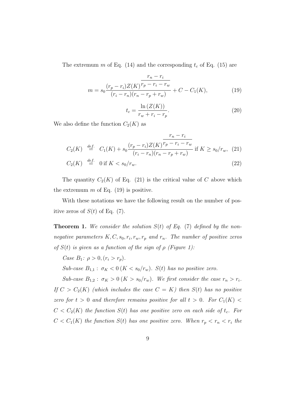The extremum m of Eq. (14) and the corresponding  $t_c$  of Eq. (15) are

$$
r_n - r_i
$$
  

$$
m = s_0 \frac{(r_p - r_i)Z(K)^{r_p - r_i - r_w}}{(r_i - r_n)(r_n - r_p + r_w)} + C - C_1(K),
$$
 (19)

$$
t_c = \frac{\ln\left(Z(K)\right)}{r_w + r_i - r_p}.\tag{20}
$$

We also define the function  $C_2(K)$  as

$$
C_2(K) \stackrel{def.}{=} C_1(K) + s_0 \frac{(r_p - r_i)Z(K)^{r_p - r_i - r_w}}{(r_i - r_n)(r_n - r_p + r_w)} \text{ if } K \ge s_0/r_w, (21)
$$
  

$$
C_2(K) \stackrel{def.}{=} 0 \text{ if } K < s_0/r
$$

$$
C_2(K) \stackrel{\text{def.}}{=} 0 \text{ if } K < s_0 / r_w. \tag{22}
$$

The quantity  $C_2(K)$  of Eq. (21) is the critical value of C above which the extremum  $m$  of Eq. (19) is positive.

With these notations we have the following result on the number of positive zeros of  $S(t)$  of Eq. (7).

**Theorem 1.** We consider the solution  $S(t)$  of Eq. (7) defined by the nonnegative parameters  $K, C, s_0, r_i, r_w, r_p$  and  $r_n$ . The number of positive zeros of  $S(t)$  is given as a function of the sign of  $\rho$  (Figure 1):

Case  $B_1$ :  $\rho > 0$ ,  $(r_i > r_p)$ .

Sub-case  $B_{1,1}$ :  $\sigma_K < 0$  ( $K < s_0/r_w$ ). S(t) has no positive zero.

Sub-case  $B_{1,2}$ :  $\sigma_K > 0$  ( $K > s_0/r_w$ ). We first consider the case  $r_n > r_i$ . If  $C > C_2(K)$  (which includes the case  $C = K$ ) then  $S(t)$  has no positive zero for  $t > 0$  and therefore remains positive for all  $t > 0$ . For  $C_1(K) <$  $C < C<sub>2</sub>(K)$  the function  $S(t)$  has one positive zero on each side of  $t<sub>c</sub>$ . For  $C < C_1(K)$  the function  $S(t)$  has one positive zero. When  $r_p < r_n < r_i$  the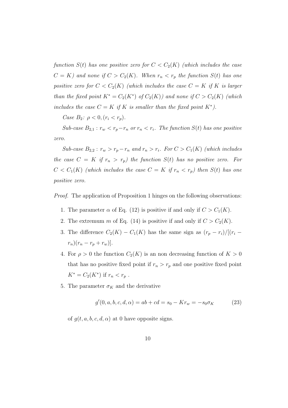function  $S(t)$  has one positive zero for  $C < C_2(K)$  (which includes the case  $C = K$ ) and none if  $C > C_2(K)$ . When  $r_n < r_p$  the function  $S(t)$  has one positive zero for  $C < C_2(K)$  (which includes the case  $C = K$  if K is larger than the fixed point  $K^* = C_2(K^*)$  of  $C_2(K)$ ) and none if  $C > C_2(K)$  (which includes the case  $C = K$  if K is smaller than the fixed point  $K^*$ ).

Case  $B_2$ :  $\rho < 0, (r_i < r_p)$ .

Sub-case  $B_{2,1}$ :  $r_w < r_p - r_n$  or  $r_n < r_i$ . The function  $S(t)$  has one positive zero.

Sub-case  $B_{2,2}$ :  $r_w > r_p - r_n$  and  $r_n > r_i$ . For  $C > C_1(K)$  (which includes the case  $C = K$  if  $r_n > r_p$ ) the function  $S(t)$  has no positive zero. For  $C < C_1(K)$  (which includes the case  $C = K$  if  $r_n < r_p$ ) then  $S(t)$  has one positive zero.

Proof. The application of Proposition 1 hinges on the following observations:

- 1. The parameter  $\alpha$  of Eq. (12) is positive if and only if  $C > C_1(K)$ .
- 2. The extremum m of Eq. (14) is positive if and only if  $C > C_2(K)$ .
- 3. The difference  $C_2(K) C_1(K)$  has the same sign as  $(r_p r_i)/[(r_i$  $r_n)(r_n - r_p + r_w)].$
- 4. For  $\rho > 0$  the function  $C_2(K)$  is an non decreasing function of  $K > 0$ that has no positive fixed point if  $r_n > r_p$  and one positive fixed point  $K^* = C_2(K^*)$  if  $r_n < r_p$ .
- 5. The parameter  $\sigma_K$  and the derivative

$$
g'(0, a, b, c, d, \alpha) = ab + cd = s_0 - Kr_w = -s_0 \sigma_K \tag{23}
$$

of  $g(t, a, b, c, d, \alpha)$  at 0 have opposite signs.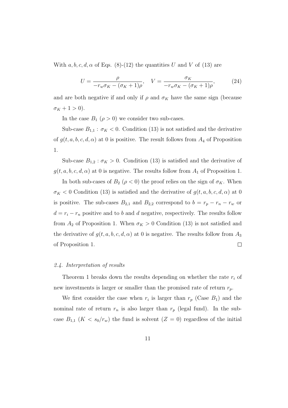With  $a, b, c, d, \alpha$  of Eqs. (8)-(12) the quantities U and V of (13) are

$$
U = \frac{\rho}{-r_w \sigma_K - (\sigma_K + 1)\rho}, \quad V = \frac{\sigma_K}{-r_w \sigma_K - (\sigma_K + 1)\rho}, \quad (24)
$$

and are both negative if and only if  $\rho$  and  $\sigma_K$  have the same sign (because  $\sigma_K + 1 > 0$ ).

In the case  $B_1$  ( $\rho > 0$ ) we consider two sub-cases.

Sub-case  $B_{1,1}$ :  $\sigma_K < 0$ . Condition (13) is not satisfied and the derivative of  $g(t, a, b, c, d, \alpha)$  at 0 is positive. The result follows from  $A_4$  of Proposition 1.

Sub-case  $B_{1,2}$ :  $\sigma_K > 0$ . Condition (13) is satisfied and the derivative of  $g(t, a, b, c, d, \alpha)$  at 0 is negative. The results follow from  $A_1$  of Proposition 1.

In both sub-cases of  $B_2$  ( $\rho < 0$ ) the proof relies on the sign of  $\sigma_K$ . When  $\sigma_K$  < 0 Condition (13) is satisfied and the derivative of  $g(t, a, b, c, d, \alpha)$  at 0 is positive. The sub-cases  $B_{2,1}$  and  $B_{2,2}$  correspond to  $b = r_p - r_n - r_w$  or  $d = r_i - r_n$  positive and to b and d negative, respectively. The results follow from  $A_2$  of Proposition 1. When  $\sigma_K > 0$  Condition (13) is not satisfied and the derivative of  $g(t, a, b, c, d, \alpha)$  at 0 is negative. The results follow from  $A_3$ of Proposition 1.  $\Box$ 

# 2.4. Interpretation of results

Theorem 1 breaks down the results depending on whether the rate  $r_i$  of new investments is larger or smaller than the promised rate of return  $r_p$ .

We first consider the case when  $r_i$  is larger than  $r_p$  (Case  $B_1$ ) and the nominal rate of return  $r_n$  is also larger than  $r_p$  (legal fund). In the subcase  $B_{1,1}$   $(K < s_0/r_w)$  the fund is solvent  $(Z = 0)$  regardless of the initial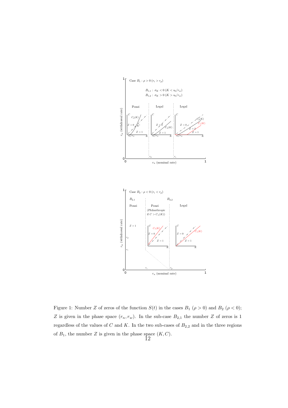

Figure 1: Number Z of zeros of the function  $S(t)$  in the cases  $B_1$  ( $\rho > 0$ ) and  $B_2$  ( $\rho < 0$ ); Z is given in the phase space  $(r_n, r_w)$ . In the sub-case  $B_{2,1}$  the number Z of zeros is 1 regardless of the values of  $C$  and  $K$ . In the two sub-cases of  $B_{2,2}$  and in the three regions of  $B_1$ , the number Z is given in the phase space  $(K, C)$ . 12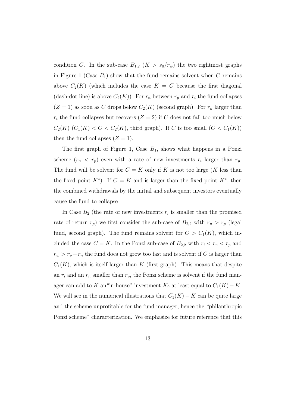condition C. In the sub-case  $B_{1,2}$   $(K > s_0/r_w)$  the two rightmost graphs in Figure 1 (Case  $B_1$ ) show that the fund remains solvent when C remains above  $C_2(K)$  (which includes the case  $K = C$  because the first diagonal (dash-dot line) is above  $C_2(K)$ ). For  $r_n$  between  $r_p$  and  $r_i$  the fund collapses  $(Z = 1)$  as soon as C drops below  $C_2(K)$  (second graph). For  $r_n$  larger than  $r_i$  the fund collapses but recovers  $(Z = 2)$  if C does not fall too much below  $C_2(K)$  ( $C_1(K) < C < C_2(K)$ , third graph). If C is too small ( $C < C_1(K)$ ) then the fund collapses  $(Z = 1)$ .

The first graph of Figure 1, Case  $B_1$ , shows what happens in a Ponzi scheme  $(r_n < r_p)$  even with a rate of new investments  $r_i$  larger than  $r_p$ . The fund will be solvent for  $C = K$  only if K is not too large (K less than the fixed point  $K^*$ ). If  $C = K$  and is larger than the fixed point  $K^*$ , then the combined withdrawals by the initial and subsequent investors eventually cause the fund to collapse.

In Case  $B_2$  (the rate of new investments  $r_i$  is smaller than the promised rate of return  $r_p$ ) we first consider the sub-case of  $B_{2,2}$  with  $r_n > r_p$  (legal fund, second graph). The fund remains solvent for  $C > C_1(K)$ , which included the case  $C = K$ . In the Ponzi sub-case of  $B_{2,2}$  with  $r_i < r_n < r_p$  and  $r_w > r_p - r_n$  the fund does not grow too fast and is solvent if C is larger than  $C_1(K)$ , which is itself larger than K (first graph). This means that despite an  $r_i$  and an  $r_n$  smaller than  $r_p$ , the Ponzi scheme is solvent if the fund manager can add to K an "in-house" investment  $K_0$  at least equal to  $C_1(K) - K$ . We will see in the numerical illustrations that  $C_1(K) - K$  can be quite large and the scheme unprofitable for the fund manager, hence the "philanthropic Ponzi scheme" characterization. We emphasize for future reference that this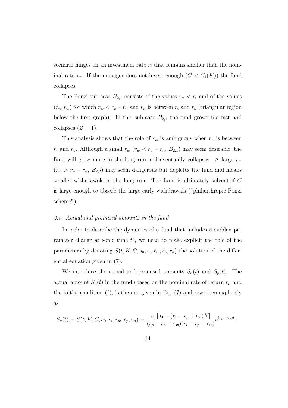scenario hinges on an investment rate  $r_i$  that remains smaller than the nominal rate  $r_n$ . If the manager does not invest enough  $(C < C_1(K))$  the fund collapses.

The Ponzi sub-case  $B_{2,1}$  consists of the values  $r_n < r_i$  and of the values  $(r_n, r_w)$  for which  $r_w < r_p - r_n$  and  $r_n$  is between  $r_i$  and  $r_p$  (triangular region below the first graph). In this sub-case  $B_{2,1}$  the fund grows too fast and collapses  $(Z = 1)$ .

This analysis shows that the role of  $r_w$  is ambiguous when  $r_n$  is between  $r_i$  and  $r_p$ . Although a small  $r_w$  ( $r_w < r_p - r_n$ ,  $B_{2,1}$ ) may seem desirable, the fund will grow more in the long run and eventually collapses. A large  $r_w$  $(r_w > r_p - r_n, B_{2,2})$  may seem dangerous but depletes the fund and means smaller withdrawals in the long run. The fund is ultimately solvent if C is large enough to absorb the large early withdrawals ("philanthropic Ponzi scheme").

# 2.5. Actual and promised amounts in the fund

In order to describe the dynamics of a fund that includes a sudden parameter change at some time  $t^*$ , we need to make explicit the role of the parameters by denoting  $S(t, K, C, s_0, r_i, r_w, r_p, r_n)$  the solution of the differential equation given in (7).

We introduce the actual and promised amounts  $S_a(t)$  and  $S_p(t)$ . The actual amount  $S_a(t)$  in the fund (based on the nominal rate of return  $r_n$  and the initial condition  $C$ ), is the one given in Eq. (7) and rewritten explicitly as

$$
S_a(t) = S(t, K, C, s_0, r_i, r_w, r_p, r_n) = \frac{r_w[s_0 - (r_i - r_p + r_w)K]}{(r_p - r_n - r_w)(r_i - r_p + r_w)}e^{(r_p - r_w)t} +
$$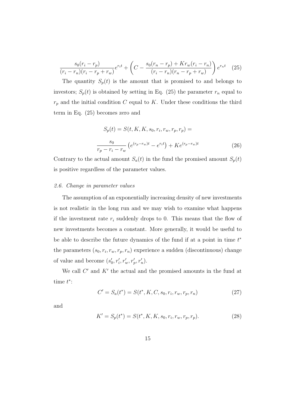$$
\frac{s_0(r_i - r_p)}{(r_i - r_n)(r_i - r_p + r_w)} e^{r_i t} + \left( C - \frac{s_0(r_n - r_p) + Kr_w(r_i - r_n)}{(r_i - r_n)(r_n - r_p + r_w)} \right) e^{r_n t} \tag{25}
$$

The quantity  $S_p(t)$  is the amount that is promised to and belongs to investors;  $S_p(t)$  is obtained by setting in Eq. (25) the parameter  $r_n$  equal to  $r_p$  and the initial condition C equal to K. Under these conditions the third term in Eq. (25) becomes zero and

$$
S_p(t) = S(t, K, K, s_0, r_i, r_w, r_p, r_p) =
$$
  

$$
\frac{s_0}{r_p - r_i - r_w} \left( e^{(r_p - r_w)t} - e^{r_i t} \right) + K e^{(r_p - r_w)t}
$$
 (26)

Contrary to the actual amount  $S_a(t)$  in the fund the promised amount  $S_p(t)$ is positive regardless of the parameter values.

### 2.6. Change in parameter values

The assumption of an exponentially increasing density of new investments is not realistic in the long run and we may wish to examine what happens if the investment rate  $r_i$  suddenly drops to 0. This means that the flow of new investments becomes a constant. More generally, it would be useful to be able to describe the future dynamics of the fund if at a point in time  $t^*$ the parameters  $(s_0, r_i, r_w, r_p, r_n)$  experience a sudden (discontinuous) change of value and become  $(s'_0, r'_i, r'_w, r'_p, r'_n)$ .

We call  $C'$  and  $K'$  the actual and the promised amounts in the fund at time  $t^*$ :

$$
C' = S_a(t^*) = S(t^*, K, C, s_0, r_i, r_w, r_p, r_n)
$$
\n(27)

and

$$
K' = S_p(t^*) = S(t^*, K, K, s_0, r_i, r_w, r_p, r_p).
$$
\n(28)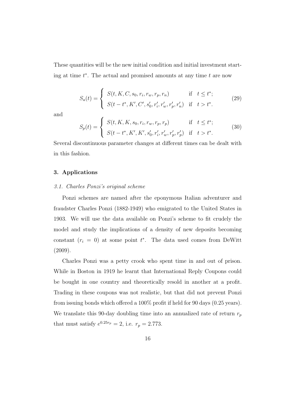These quantities will be the new initial condition and initial investment starting at time  $t^*$ . The actual and promised amounts at any time  $t$  are now

$$
S_a(t) = \begin{cases} S(t, K, C, s_0, r_i, r_w, r_p, r_n) & \text{if } t \le t^*; \\ S(t - t^*, K', C', s'_0, r'_i, r'_w, r'_p, r'_n) & \text{if } t > t^*. \end{cases}
$$
(29)

and

$$
S_p(t) = \begin{cases} S(t, K, K, s_0, r_i, r_w, r_p, r_p) & \text{if } t \le t^*; \\ S(t - t^*, K', K', s'_0, r'_i, r'_w, r'_p, r'_p) & \text{if } t > t^*. \end{cases}
$$
(30)

Several discontinuous parameter changes at different times can be dealt with in this fashion.

# 3. Applications

#### 3.1. Charles Ponzi's original scheme

Ponzi schemes are named after the eponymous Italian adventurer and fraudster Charles Ponzi (1882-1949) who emigrated to the United States in 1903. We will use the data available on Ponzi's scheme to fit crudely the model and study the implications of a density of new deposits becoming constant  $(r_i = 0)$  at some point  $t^*$ . The data used comes from DeWitt (2009).

Charles Ponzi was a petty crook who spent time in and out of prison. While in Boston in 1919 he learnt that International Reply Coupons could be bought in one country and theoretically resold in another at a profit. Trading in these coupons was not realistic, but that did not prevent Ponzi from issuing bonds which offered a 100% profit if held for 90 days (0.25 years). We translate this 90-day doubling time into an annualized rate of return  $r_p$ that must satisfy  $e^{0.25r_p} = 2$ , i.e.  $r_p = 2.773$ .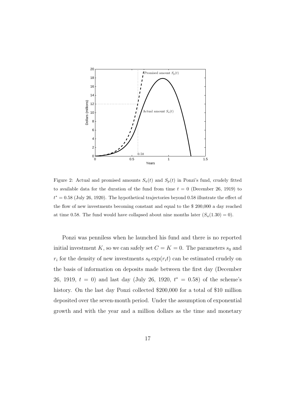

Figure 2: Actual and promised amounts  $S_a(t)$  and  $S_p(t)$  in Ponzi's fund, crudely fitted to available data for the duration of the fund from time  $t = 0$  (December 26, 1919) to  $t^* = 0.58$  (July 26, 1920). The hypothetical trajectories beyond 0.58 illustrate the effect of the flow of new investments becoming constant and equal to the \$ 200,000 a day reached at time 0.58. The fund would have collapsed about nine months later  $(S_a(1.30) = 0)$ .

Ponzi was penniless when he launched his fund and there is no reported initial investment K, so we can safely set  $C = K = 0$ . The parameters  $s_0$  and  $r_i$  for the density of new investments  $s_0 \exp(r_i t)$  can be estimated crudely on the basis of information on deposits made between the first day (December 26, 1919,  $t = 0$ ) and last day (July 26, 1920,  $t^* = 0.58$ ) of the scheme's history. On the last day Ponzi collected \$200,000 for a total of \$10 million deposited over the seven-month period. Under the assumption of exponential growth and with the year and a million dollars as the time and monetary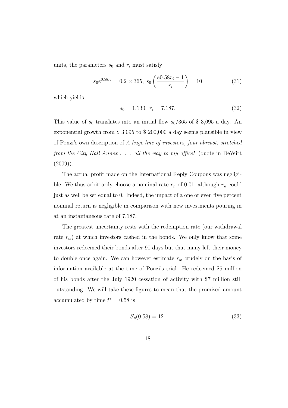units, the parameters  $s_0$  and  $r_i$  must satisfy

$$
s_0 e^{0.58r_i} = 0.2 \times 365, \ s_0 \left(\frac{e^{0.58r_i} - 1}{r_i}\right) = 10 \tag{31}
$$

which yields

$$
s_0 = 1.130, r_i = 7.187.
$$
\n<sup>(32)</sup>

This value of  $s_0$  translates into an initial flow  $s_0/365$  of \$ 3,095 a day. An exponential growth from \$ 3,095 to \$ 200,000 a day seems plausible in view of Ponzi's own description of A huge line of investors, four abreast, stretched from the City Hall Annex . . . all the way to my office! (quote in DeWitt  $(2009)$ ).

The actual profit made on the International Reply Coupons was negligible. We thus arbitrarily choose a nominal rate  $r_n$  of 0.01, although  $r_n$  could just as well be set equal to 0. Indeed, the impact of a one or even five percent nominal return is negligible in comparison with new investments pouring in at an instantaneous rate of 7.187.

The greatest uncertainty rests with the redemption rate (our withdrawal rate  $r_w$ ) at which investors cashed in the bonds. We only know that some investors redeemed their bonds after 90 days but that many left their money to double once again. We can however estimate  $r_w$  crudely on the basis of information available at the time of Ponzi's trial. He redeemed \$5 million of his bonds after the July 1920 cessation of activity with \$7 million still outstanding. We will take these figures to mean that the promised amount accumulated by time  $t^* = 0.58$  is

$$
S_p(0.58) = 12.\t\t(33)
$$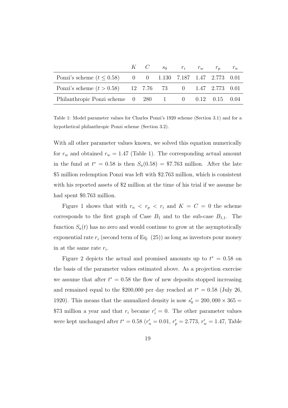|                                                                                                   |  | $K$ $C$ $s_0$ $r_i$ $r_w$ $r_p$ $r_n$ |  |  |
|---------------------------------------------------------------------------------------------------|--|---------------------------------------|--|--|
| Ponzi's scheme $(t \le 0.58)$ 0 0 1.130 7.187 1.47 2.773 0.01                                     |  |                                       |  |  |
| Ponzi's scheme $(t > 0.58)$ 12 7.76 73 0 1.47 2.773 0.01                                          |  |                                       |  |  |
| Philanthropic Ponzi scheme $\begin{array}{cccc} 0 & 280 & 1 & 0 & 0.12 & 0.15 & 0.04 \end{array}$ |  |                                       |  |  |

Table 1: Model parameter values for Charles Ponzi's 1920 scheme (Section 3.1) and for a hypothetical philanthropic Ponzi scheme (Section 3.2).

With all other parameter values known, we solved this equation numerically for  $r_w$  and obtained  $r_w = 1.47$  (Table 1). The corresponding actual amount in the fund at  $t^* = 0.58$  is then  $S_a(0.58) = $7.763$  million. After the late \$5 million redemption Ponzi was left with \$2.763 million, which is consistent with his reported assets of \$2 million at the time of his trial if we assume he had spent \$0.763 million.

Figure 1 shows that with  $r_n \, < r_p \, < r_i$  and  $K = C = 0$  the scheme corresponds to the first graph of Case  $B_1$  and to the sub-case  $B_{1,1}$ . The function  $S_a(t)$  has no zero and would continue to grow at the asymptotically exponential rate  $r_i$  (second term of Eq. (25)) as long as investors pour money in at the same rate  $r_i$ .

Figure 2 depicts the actual and promised amounts up to  $t^* = 0.58$  on the basis of the parameter values estimated above. As a projection exercise we assume that after  $t^* = 0.58$  the flow of new deposits stopped increasing and remained equal to the \$200,000 per day reached at  $t^* = 0.58$  (July 26, 1920). This means that the annualized density is now  $s'_0 = 200,000 \times 365 =$ \$73 million a year and that  $r_i$  became  $r'_i = 0$ . The other parameter values were kept unchanged after  $t^* = 0.58$   $(r'_n = 0.01, r'_p = 2.773, r'_w = 1.47$ , Table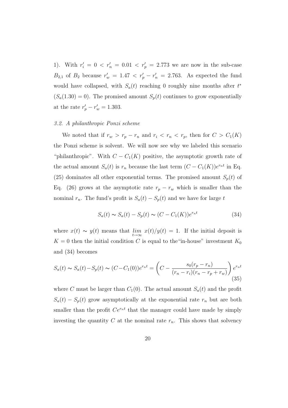1). With  $r'_i = 0 < r'_n = 0.01 < r'_p = 2.773$  we are now in the sub-case  $B_{2,1}$  of  $B_2$  because  $r'_w = 1.47 < r'_p - r'_n = 2.763$ . As expected the fund would have collapsed, with  $S_a(t)$  reaching 0 roughly nine months after  $t^*$  $(S_a(1.30) = 0)$ . The promised amount  $S_p(t)$  continues to grow exponentially at the rate  $r'_{p} - r'_{w} = 1.303$ .

### 3.2. A philanthropic Ponzi scheme

We noted that if  $r_w > r_p - r_n$  and  $r_i < r_n < r_p$ , then for  $C > C_1(K)$ the Ponzi scheme is solvent. We will now see why we labeled this scenario "philanthropic". With  $C - C_1(K)$  positive, the asymptotic growth rate of the actual amount  $S_a(t)$  is  $r_n$  because the last term  $(C - C_1(K))e^{r_n t}$  in Eq. (25) dominates all other exponential terms. The promised amount  $S_p(t)$  of Eq. (26) grows at the asymptotic rate  $r_p - r_w$  which is smaller than the nominal  $r_n$ . The fund's profit is  $S_a(t) - S_p(t)$  and we have for large t

$$
S_a(t) \sim S_a(t) - S_p(t) \sim (C - C_1(K))e^{r_n t}
$$
\n(34)

where  $x(t) \sim y(t)$  means that  $\lim_{t \to \infty} x(t)/y(t) = 1$ . If the initial deposit is  $K = 0$  then the initial condition C is equal to the "in-house" investment  $K_0$ and (34) becomes

$$
S_a(t) \sim S_a(t) - S_p(t) \sim (C - C_1(0))e^{r_n t} = \left(C - \frac{s_0(r_p - r_n)}{(r_n - r_i)(r_n - r_p + r_w)}\right)e^{r_n t}
$$
\n(35)

where C must be larger than  $C_1(0)$ . The actual amount  $S_a(t)$  and the profit  $S_a(t) - S_p(t)$  grow asymptotically at the exponential rate  $r_n$  but are both smaller than the profit  $Ce^{r_n t}$  that the manager could have made by simply investing the quantity  $C$  at the nominal rate  $r_n$ . This shows that solvency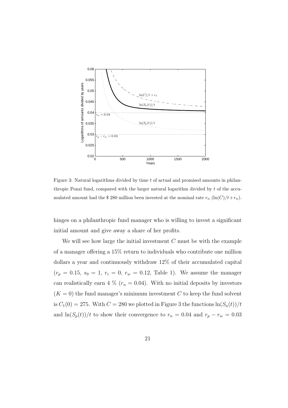

Figure 3: Natural logarithms divided by time t of actual and promised amounts in philanthropic Ponzi fund, compared with the larger natural logarithm divided by  $t$  of the accumulated amount had the \$280 million been invested at the nominal rate  $r_n (\ln(C)/t+r_n)$ .

hinges on a philanthropic fund manager who is willing to invest a significant initial amount and give away a share of her profits.

We will see how large the initial investment  $C$  must be with the example of a manager offering a 15% return to individuals who contribute one million dollars a year and continuously withdraw 12% of their accumulated capital  $(r_p = 0.15, s_0 = 1, r_i = 0, r_w = 0.12,$  Table 1). We assume the manager can realistically earn 4 % ( $r_n = 0.04$ ). With no initial deposits by investors  $(K = 0)$  the fund manager's minimum investment C to keep the fund solvent is  $C_1(0) = 275$ . With  $C = 280$  we plotted in Figure 3 the functions  $\ln(S_a(t))/t$ and  $\ln(S_p(t))/t$  to show their convergence to  $r_n = 0.04$  and  $r_p - r_w = 0.03$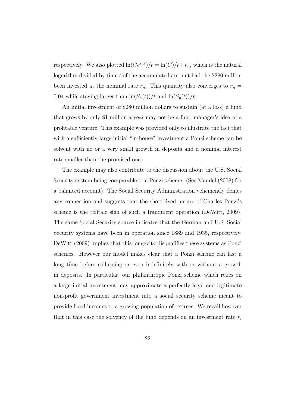respectively. We also plotted  $\ln(Ce^{r_n t})/t = \ln(C)/t + r_n$ , which is the natural logarithm divided by time  $t$  of the accumulated amount had the \$280 million been invested at the nominal rate  $r_n$ . This quantity also converges to  $r_n =$ 0.04 while staying larger than  $\ln(S_a(t))/t$  and  $\ln(S_p(t))/t$ .

An initial investment of \$280 million dollars to sustain (at a loss) a fund that grows by only \$1 million a year may not be a fund manager's idea of a profitable venture. This example was provided only to illustrate the fact that with a sufficiently large initial "in-house" investment a Ponzi scheme can be solvent with no or a very small growth in deposits and a nominal interest rate smaller than the promised one.

The example may also contribute to the discussion about the U.S. Social Security system being comparable to a Ponzi scheme. (See Mandel (2008) for a balanced account). The Social Security Administration vehemently denies any connection and suggests that the short-lived nature of Charles Ponzi's scheme is the telltale sign of such a fraudulent operation (DeWitt, 2009). The same Social Security source indicates that the German and U.S. Social Security systems have been in operation since 1889 and 1935, respectively. DeWitt (2009) implies that this longevity disqualifies these systems as Ponzi schemes. However our model makes clear that a Ponzi scheme can last a long time before collapsing or even indefinitely with or without a growth in deposits. In particular, our philanthropic Ponzi scheme which relies on a large initial investment may approximate a perfectly legal and legitimate non-profit government investment into a social security scheme meant to provide fixed incomes to a growing population of retirees. We recall however that in this case the solvency of the fund depends on an investment rate  $r_i$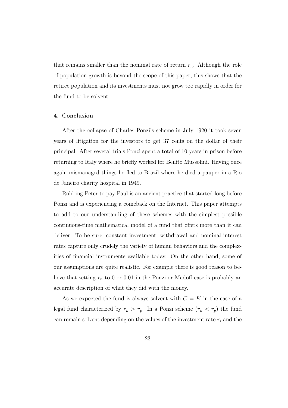that remains smaller than the nominal rate of return  $r_n$ . Although the role of population growth is beyond the scope of this paper, this shows that the retiree population and its investments must not grow too rapidly in order for the fund to be solvent.

# 4. Conclusion

After the collapse of Charles Ponzi's scheme in July 1920 it took seven years of litigation for the investors to get 37 cents on the dollar of their principal. After several trials Ponzi spent a total of 10 years in prison before returning to Italy where he briefly worked for Benito Mussolini. Having once again mismanaged things he fled to Brazil where he died a pauper in a Rio de Janeiro charity hospital in 1949.

Robbing Peter to pay Paul is an ancient practice that started long before Ponzi and is experiencing a comeback on the Internet. This paper attempts to add to our understanding of these schemes with the simplest possible continuous-time mathematical model of a fund that offers more than it can deliver. To be sure, constant investment, withdrawal and nominal interest rates capture only crudely the variety of human behaviors and the complexities of financial instruments available today. On the other hand, some of our assumptions are quite realistic. For example there is good reason to believe that setting  $r_n$  to 0 or 0.01 in the Ponzi or Madoff case is probably an accurate description of what they did with the money.

As we expected the fund is always solvent with  $C = K$  in the case of a legal fund characterized by  $r_n > r_p$ . In a Ponzi scheme  $(r_n < r_p)$  the fund can remain solvent depending on the values of the investment rate  $r_i$  and the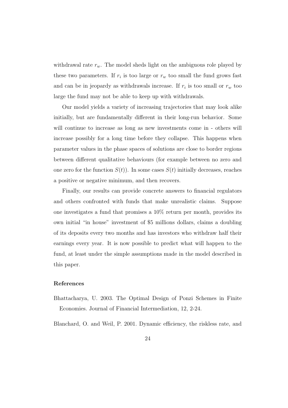withdrawal rate  $r_w$ . The model sheds light on the ambiguous role played by these two parameters. If  $r_i$  is too large or  $r_w$  too small the fund grows fast and can be in jeopardy as withdrawals increase. If  $r_i$  is too small or  $r_w$  too large the fund may not be able to keep up with withdrawals.

Our model yields a variety of increasing trajectories that may look alike initially, but are fundamentally different in their long-run behavior. Some will continue to increase as long as new investments come in - others will increase possibly for a long time before they collapse. This happens when parameter values in the phase spaces of solutions are close to border regions between different qualitative behaviours (for example between no zero and one zero for the function  $S(t)$ ). In some cases  $S(t)$  initially decreases, reaches a positive or negative minimum, and then recovers.

Finally, our results can provide concrete answers to financial regulators and others confronted with funds that make unrealistic claims. Suppose one investigates a fund that promises a 10% return per month, provides its own initial "in house" investment of \$5 millions dollars, claims a doubling of its deposits every two months and has investors who withdraw half their earnings every year. It is now possible to predict what will happen to the fund, at least under the simple assumptions made in the model described in this paper.

# References

Bhattacharya, U. 2003. The Optimal Design of Ponzi Schemes in Finite Economies. Journal of Financial Intermediation, 12, 2-24.

Blanchard, O. and Weil, P. 2001. Dynamic efficiency, the riskless rate, and